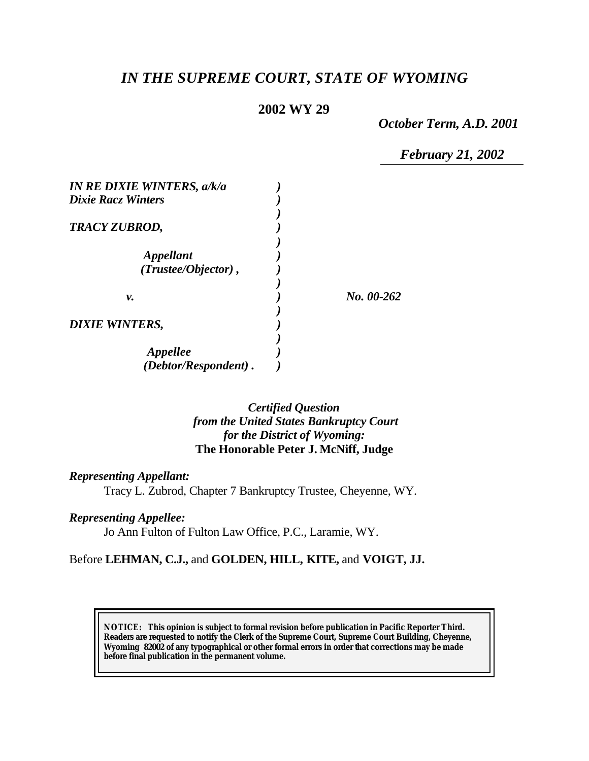# *IN THE SUPREME COURT, STATE OF WYOMING*

### **2002 WY 29**

*October Term, A.D. 2001*

*February 21, 2002*

| <b>IN RE DIXIE WINTERS, a/k/a</b> |            |
|-----------------------------------|------------|
| <b>Dixie Racz Winters</b>         |            |
| TRACY ZUBROD,                     |            |
| <i><b>Appellant</b></i>           |            |
| (Trustee/Objector),               |            |
| ν.                                | No. 00-262 |
| <b>DIXIE WINTERS,</b>             |            |
| Appellee                          |            |
| (Debtor/Respondent).              |            |

### *Certified Question from the United States Bankruptcy Court for the District of Wyoming:* **The Honorable Peter J. McNiff, Judge**

*Representing Appellant:*

Tracy L. Zubrod, Chapter 7 Bankruptcy Trustee, Cheyenne, WY.

*Representing Appellee:*

Jo Ann Fulton of Fulton Law Office, P.C., Laramie, WY.

#### Before **LEHMAN, C.J.,** and **GOLDEN, HILL, KITE,** and **VOIGT, JJ.**

**NOTICE:** *This opinion is subject to formal revision before publication in Pacific Reporter Third. Readers are requested to notify the Clerk of the Supreme Court, Supreme Court Building, Cheyenne, Wyoming 82002 of any typographical or other formal errors in order that corrections may be made before final publication in the permanent volume.*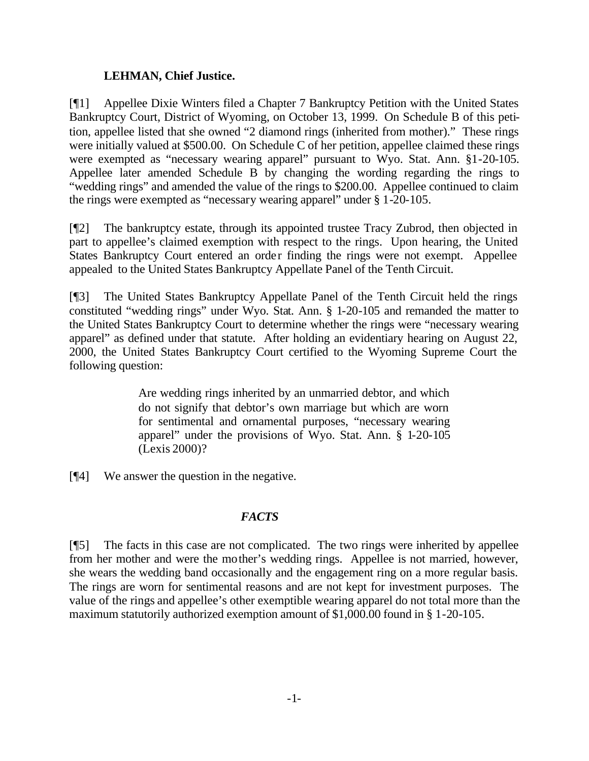### **LEHMAN, Chief Justice.**

[¶1] Appellee Dixie Winters filed a Chapter 7 Bankruptcy Petition with the United States Bankruptcy Court, District of Wyoming, on October 13, 1999. On Schedule B of this petition, appellee listed that she owned "2 diamond rings (inherited from mother)." These rings were initially valued at \$500.00. On Schedule C of her petition, appellee claimed these rings were exempted as "necessary wearing apparel" pursuant to Wyo. Stat. Ann. §1-20-105. Appellee later amended Schedule B by changing the wording regarding the rings to "wedding rings" and amended the value of the rings to \$200.00. Appellee continued to claim the rings were exempted as "necessary wearing apparel" under § 1-20-105.

[¶2] The bankruptcy estate, through its appointed trustee Tracy Zubrod, then objected in part to appellee's claimed exemption with respect to the rings. Upon hearing, the United States Bankruptcy Court entered an order finding the rings were not exempt. Appellee appealed to the United States Bankruptcy Appellate Panel of the Tenth Circuit.

[¶3] The United States Bankruptcy Appellate Panel of the Tenth Circuit held the rings constituted "wedding rings" under Wyo. Stat. Ann. § 1-20-105 and remanded the matter to the United States Bankruptcy Court to determine whether the rings were "necessary wearing apparel" as defined under that statute. After holding an evidentiary hearing on August 22, 2000, the United States Bankruptcy Court certified to the Wyoming Supreme Court the following question:

> Are wedding rings inherited by an unmarried debtor, and which do not signify that debtor's own marriage but which are worn for sentimental and ornamental purposes, "necessary wearing apparel" under the provisions of Wyo. Stat. Ann. § 1-20-105 (Lexis 2000)?

[¶4] We answer the question in the negative.

## *FACTS*

[¶5] The facts in this case are not complicated. The two rings were inherited by appellee from her mother and were the mother's wedding rings. Appellee is not married, however, she wears the wedding band occasionally and the engagement ring on a more regular basis. The rings are worn for sentimental reasons and are not kept for investment purposes. The value of the rings and appellee's other exemptible wearing apparel do not total more than the maximum statutorily authorized exemption amount of \$1,000.00 found in § 1-20-105.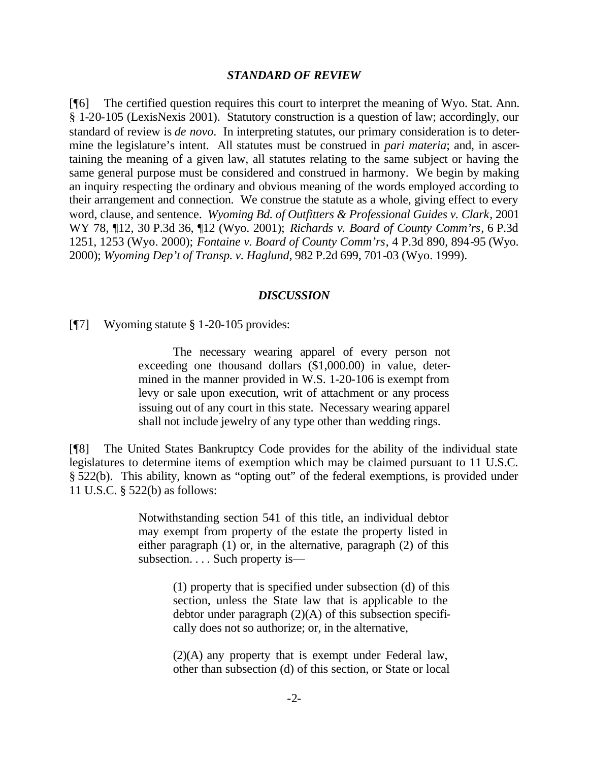#### *STANDARD OF REVIEW*

[¶6] The certified question requires this court to interpret the meaning of Wyo. Stat. Ann. § 1-20-105 (LexisNexis 2001). Statutory construction is a question of law; accordingly, our standard of review is *de novo*. In interpreting statutes, our primary consideration is to determine the legislature's intent. All statutes must be construed in *pari materia*; and, in ascertaining the meaning of a given law, all statutes relating to the same subject or having the same general purpose must be considered and construed in harmony. We begin by making an inquiry respecting the ordinary and obvious meaning of the words employed according to their arrangement and connection. We construe the statute as a whole, giving effect to every word, clause, and sentence. *Wyoming Bd. of Outfitters & Professional Guides v. Clark*, 2001 WY 78, ¶12, 30 P.3d 36, ¶12 (Wyo. 2001); *Richards v. Board of County Comm'rs*, 6 P.3d 1251, 1253 (Wyo. 2000); *Fontaine v. Board of County Comm'rs*, 4 P.3d 890, 894-95 (Wyo. 2000); *Wyoming Dep't of Transp. v. Haglund*, 982 P.2d 699, 701-03 (Wyo. 1999).

#### *DISCUSSION*

[¶7] Wyoming statute § 1-20-105 provides:

The necessary wearing apparel of every person not exceeding one thousand dollars (\$1,000.00) in value, determined in the manner provided in W.S. 1-20-106 is exempt from levy or sale upon execution, writ of attachment or any process issuing out of any court in this state. Necessary wearing apparel shall not include jewelry of any type other than wedding rings.

[¶8] The United States Bankruptcy Code provides for the ability of the individual state legislatures to determine items of exemption which may be claimed pursuant to 11 U.S.C. § 522(b). This ability, known as "opting out" of the federal exemptions, is provided under 11 U.S.C. § 522(b) as follows:

> Notwithstanding section 541 of this title, an individual debtor may exempt from property of the estate the property listed in either paragraph (1) or, in the alternative, paragraph (2) of this subsection. . . . Such property is—

> > (1) property that is specified under subsection (d) of this section, unless the State law that is applicable to the debtor under paragraph  $(2)(A)$  of this subsection specifically does not so authorize; or, in the alternative,

> > (2)(A) any property that is exempt under Federal law, other than subsection (d) of this section, or State or local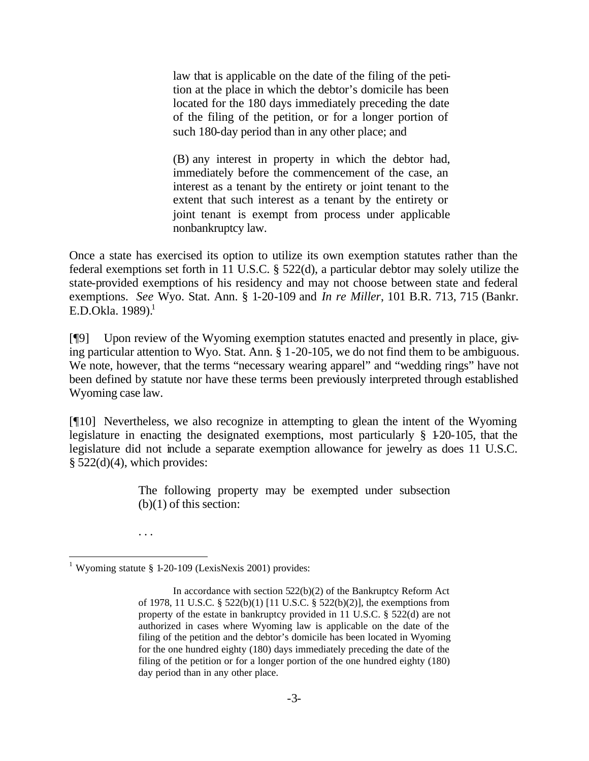law that is applicable on the date of the filing of the petition at the place in which the debtor's domicile has been located for the 180 days immediately preceding the date of the filing of the petition, or for a longer portion of such 180-day period than in any other place; and

(B) any interest in property in which the debtor had, immediately before the commencement of the case, an interest as a tenant by the entirety or joint tenant to the extent that such interest as a tenant by the entirety or joint tenant is exempt from process under applicable nonbankruptcy law.

Once a state has exercised its option to utilize its own exemption statutes rather than the federal exemptions set forth in 11 U.S.C. § 522(d), a particular debtor may solely utilize the state-provided exemptions of his residency and may not choose between state and federal exemptions. *See* Wyo. Stat. Ann. § 1-20-109 and *In re Miller*, 101 B.R. 713, 715 (Bankr. E.D.Okla.  $1989$ <sup>1</sup>

[¶9] Upon review of the Wyoming exemption statutes enacted and presently in place, giving particular attention to Wyo. Stat. Ann. § 1-20-105, we do not find them to be ambiguous. We note, however, that the terms "necessary wearing apparel" and "wedding rings" have not been defined by statute nor have these terms been previously interpreted through established Wyoming case law.

[¶10] Nevertheless, we also recognize in attempting to glean the intent of the Wyoming legislature in enacting the designated exemptions, most particularly § 1-20-105, that the legislature did not include a separate exemption allowance for jewelry as does 11 U.S.C.  $§$  522(d)(4), which provides:

> The following property may be exempted under subsection  $(b)(1)$  of this section:

. . .

l

<sup>&</sup>lt;sup>1</sup> Wyoming statute § 1-20-109 (LexisNexis 2001) provides:

In accordance with section 522(b)(2) of the Bankruptcy Reform Act of 1978, 11 U.S.C. § 522(b)(1) [11 U.S.C. § 522(b)(2)], the exemptions from property of the estate in bankruptcy provided in 11 U.S.C. § 522(d) are not authorized in cases where Wyoming law is applicable on the date of the filing of the petition and the debtor's domicile has been located in Wyoming for the one hundred eighty (180) days immediately preceding the date of the filing of the petition or for a longer portion of the one hundred eighty (180) day period than in any other place.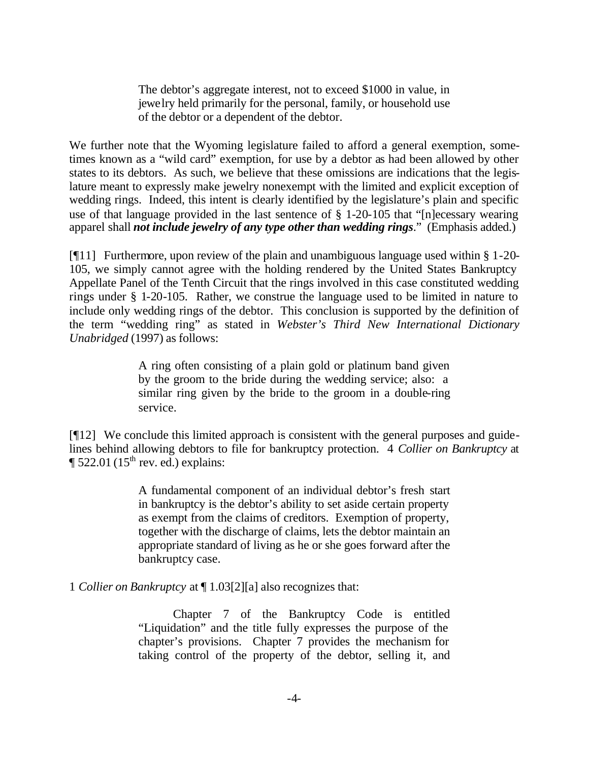The debtor's aggregate interest, not to exceed \$1000 in value, in jewelry held primarily for the personal, family, or household use of the debtor or a dependent of the debtor.

We further note that the Wyoming legislature failed to afford a general exemption, sometimes known as a "wild card" exemption, for use by a debtor as had been allowed by other states to its debtors. As such, we believe that these omissions are indications that the legislature meant to expressly make jewelry nonexempt with the limited and explicit exception of wedding rings. Indeed, this intent is clearly identified by the legislature's plain and specific use of that language provided in the last sentence of § 1-20-105 that "[n]ecessary wearing apparel shall *not include jewelry of any type other than wedding rings*." (Emphasis added.)

[¶11] Furthermore, upon review of the plain and unambiguous language used within § 1-20- 105, we simply cannot agree with the holding rendered by the United States Bankruptcy Appellate Panel of the Tenth Circuit that the rings involved in this case constituted wedding rings under § 1-20-105. Rather, we construe the language used to be limited in nature to include only wedding rings of the debtor. This conclusion is supported by the definition of the term "wedding ring" as stated in *Webster's Third New International Dictionary Unabridged* (1997) as follows:

> A ring often consisting of a plain gold or platinum band given by the groom to the bride during the wedding service; also: a similar ring given by the bride to the groom in a double-ring service.

[¶12] We conclude this limited approach is consistent with the general purposes and guidelines behind allowing debtors to file for bankruptcy protection. 4 *Collier on Bankruptcy* at  $\P$  522.01 (15<sup>th</sup> rev. ed.) explains:

> A fundamental component of an individual debtor's fresh start in bankruptcy is the debtor's ability to set aside certain property as exempt from the claims of creditors. Exemption of property, together with the discharge of claims, lets the debtor maintain an appropriate standard of living as he or she goes forward after the bankruptcy case.

1 *Collier on Bankruptcy* at ¶ 1.03[2][a] also recognizes that:

Chapter 7 of the Bankruptcy Code is entitled "Liquidation" and the title fully expresses the purpose of the chapter's provisions. Chapter 7 provides the mechanism for taking control of the property of the debtor, selling it, and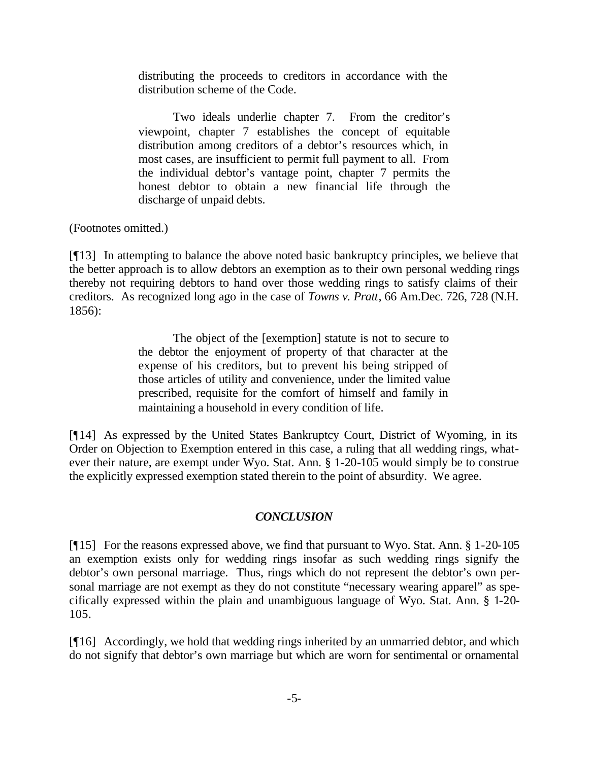distributing the proceeds to creditors in accordance with the distribution scheme of the Code.

Two ideals underlie chapter 7. From the creditor's viewpoint, chapter 7 establishes the concept of equitable distribution among creditors of a debtor's resources which, in most cases, are insufficient to permit full payment to all. From the individual debtor's vantage point, chapter 7 permits the honest debtor to obtain a new financial life through the discharge of unpaid debts.

(Footnotes omitted.)

[¶13] In attempting to balance the above noted basic bankruptcy principles, we believe that the better approach is to allow debtors an exemption as to their own personal wedding rings thereby not requiring debtors to hand over those wedding rings to satisfy claims of their creditors. As recognized long ago in the case of *Towns v. Pratt*, 66 Am.Dec. 726, 728 (N.H. 1856):

> The object of the [exemption] statute is not to secure to the debtor the enjoyment of property of that character at the expense of his creditors, but to prevent his being stripped of those articles of utility and convenience, under the limited value prescribed, requisite for the comfort of himself and family in maintaining a household in every condition of life.

[¶14] As expressed by the United States Bankruptcy Court, District of Wyoming, in its Order on Objection to Exemption entered in this case, a ruling that all wedding rings, whatever their nature, are exempt under Wyo. Stat. Ann. § 1-20-105 would simply be to construe the explicitly expressed exemption stated therein to the point of absurdity. We agree.

#### *CONCLUSION*

[¶15] For the reasons expressed above, we find that pursuant to Wyo. Stat. Ann. § 1-20-105 an exemption exists only for wedding rings insofar as such wedding rings signify the debtor's own personal marriage. Thus, rings which do not represent the debtor's own personal marriage are not exempt as they do not constitute "necessary wearing apparel" as specifically expressed within the plain and unambiguous language of Wyo. Stat. Ann. § 1-20- 105.

[¶16] Accordingly, we hold that wedding rings inherited by an unmarried debtor, and which do not signify that debtor's own marriage but which are worn for sentimental or ornamental